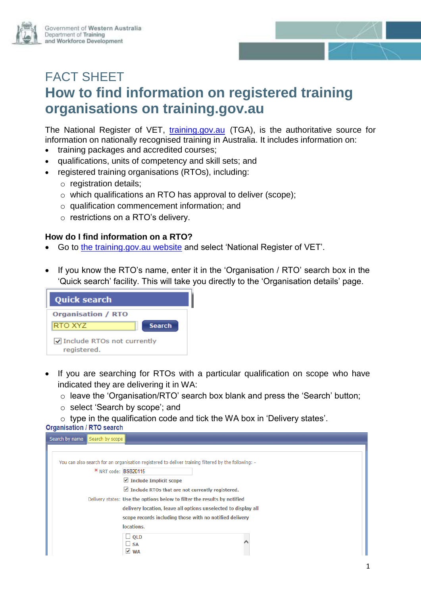

## FACT SHEET **How to find information on registered training organisations on training.gov.au**

The National Register of VET, [training.gov.au](http://training.gov.au/) (TGA), is the authoritative source for information on nationally recognised training in Australia. It includes information on:

- training packages and accredited courses;
- qualifications, units of competency and skill sets; and
- registered training organisations (RTOs), including:
	- o registration details;
	- o which qualifications an RTO has approval to deliver (scope);
	- o qualification commencement information; and
	- o restrictions on a RTO's delivery.

## **How do I find information on a RTO?**

- Go to the [training.gov.au](https://training.gov.au/) website and select 'National Register of VET'.
- If you know the RTO's name, enter it in the 'Organisation / RTO' search box in the 'Quick search' facility. This will take you directly to the 'Organisation details' page.

| <b>Quick search</b>                                 |               |  |  |  |  |  |  |  |
|-----------------------------------------------------|---------------|--|--|--|--|--|--|--|
| <b>Organisation / RTO</b>                           |               |  |  |  |  |  |  |  |
| RTO XYZ                                             | <b>Search</b> |  |  |  |  |  |  |  |
| $\sqrt{}$ Include RTOs not currently<br>registered. |               |  |  |  |  |  |  |  |

- If you are searching for RTOs with a particular qualification on scope who have indicated they are delivering it in WA:
	- o leave the 'Organisation/RTO' search box blank and press the 'Search' button;
	- o select 'Search by scope'; and
	- o type in the qualification code and tick the WA box in 'Delivery states'.

**Organisation / RTO search** 

| Search by name | Search by scope      |                                                                                                     |
|----------------|----------------------|-----------------------------------------------------------------------------------------------------|
|                |                      |                                                                                                     |
|                |                      | You can also search for an organisation registered to deliver training filtered by the following: - |
|                |                      |                                                                                                     |
|                | * NRT code: BSB20115 |                                                                                                     |
|                |                      | $\vee$ Include Implicit scope                                                                       |
|                |                      | $\vee$ Include RTOs that are not currently registered.                                              |
|                |                      | Delivery states: Use the options below to filter the results by notified                            |
|                |                      | delivery location, leave all options unselected to display all                                      |
|                |                      | scope records including those with no notified delivery                                             |
|                |                      | locations.                                                                                          |
|                |                      | $\Box$ OLD                                                                                          |
|                |                      | $-$ SA                                                                                              |
|                |                      | √ WA                                                                                                |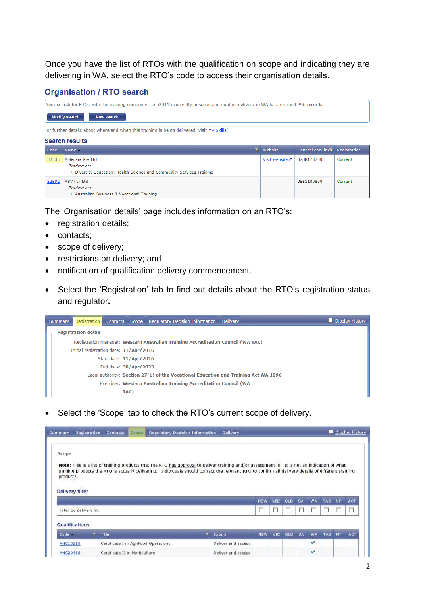Once you have the list of RTOs with the qualification on scope and indicating they are delivering in WA, select the RTO's code to access their organisation details.

## **Organisation / RTO search**

|       | Your search for RTOs with the training component bsb20115 currently in scope and notified delivery in WA has returned 296 records. |                 |            |         |  |  |  |  |  |  |  |
|-------|------------------------------------------------------------------------------------------------------------------------------------|-----------------|------------|---------|--|--|--|--|--|--|--|
|       | <b>Modify search</b><br><b>New search</b>                                                                                          |                 |            |         |  |  |  |  |  |  |  |
|       | For further details about where and when this training is being delivered, visit My Skills $\bigcap$                               |                 |            |         |  |  |  |  |  |  |  |
|       | <b>Search results</b>                                                                                                              |                 |            |         |  |  |  |  |  |  |  |
| Code  | <b>Y</b> Website<br><b>General enquiries</b><br>Name $\sim$<br>Registration                                                        |                 |            |         |  |  |  |  |  |  |  |
| 32535 | Ablecare Pty Ltd<br>Trading as:<br>. Diversity Education: Health Science and Community Services Training                           | Visit website P | 0738178700 | Current |  |  |  |  |  |  |  |
| 52592 | ABV Pty Ltd<br>Trading as:<br>• Australian Business & Vocational Training                                                          |                 | 0861100800 | Current |  |  |  |  |  |  |  |

The 'Organisation details' page includes information on an RTO's:

- registration details;
- contacts;
- scope of delivery;
- restrictions on delivery; and
- notification of qualification delivery commencement.
- Select the 'Registration' tab to find out details about the RTO's registration status and regulator**.**

| Registration |                            |      |                                                                                            | Display history                                                                                                                                                                                                                                                                                               |
|--------------|----------------------------|------|--------------------------------------------------------------------------------------------|---------------------------------------------------------------------------------------------------------------------------------------------------------------------------------------------------------------------------------------------------------------------------------------------------------------|
|              |                            |      |                                                                                            |                                                                                                                                                                                                                                                                                                               |
|              |                            |      |                                                                                            |                                                                                                                                                                                                                                                                                                               |
|              |                            |      |                                                                                            |                                                                                                                                                                                                                                                                                                               |
|              |                            |      |                                                                                            |                                                                                                                                                                                                                                                                                                               |
|              |                            |      |                                                                                            |                                                                                                                                                                                                                                                                                                               |
|              |                            |      |                                                                                            |                                                                                                                                                                                                                                                                                                               |
|              |                            |      |                                                                                            |                                                                                                                                                                                                                                                                                                               |
|              |                            |      |                                                                                            |                                                                                                                                                                                                                                                                                                               |
|              | <b>Registration detail</b> | TAC) | Initial registration date: 11/Apr/2016<br>Start date: 11/Apr/2016<br>End date: 30/Apr/2023 | Contacts Scope Regulatory Decision Information Delivery<br>Registration manager: Western Australian Training Accreditation Council (WA TAC)<br>Legal authority: Section 27(1) of the Vocational Education and Training Act WA 1996<br><b>Exerciser: Western Australian Training Accreditation Council (WA</b> |

• Select the 'Scope' tab to check the RTO's current scope of delivery.

|                             | <b>Registration</b>    | <b>Contacts</b>                                                        | Scope <sup>1</sup> | <b>Regulatory Decision Information</b> | <b>Delivery</b>                                                                                                                                                                                                                                                                                      |            |            |            |    |           |            | Display history |            |
|-----------------------------|------------------------|------------------------------------------------------------------------|--------------------|----------------------------------------|------------------------------------------------------------------------------------------------------------------------------------------------------------------------------------------------------------------------------------------------------------------------------------------------------|------------|------------|------------|----|-----------|------------|-----------------|------------|
| Scope<br>products.          |                        |                                                                        |                    |                                        | Note: This is a list of training products that the RTO has approval to deliver training and/or assessment in. It is not an indication of what<br>training products the RTO is actually delivering. Individuals should contact the relevant RTO to confirm all delivery details of different training |            |            |            |    |           |            |                 |            |
| Delivery filter             |                        |                                                                        |                    |                                        |                                                                                                                                                                                                                                                                                                      |            |            |            |    |           |            |                 |            |
|                             |                        |                                                                        |                    |                                        |                                                                                                                                                                                                                                                                                                      | <b>NSW</b> | <b>VIC</b> | <b>QLD</b> | SA | <b>WA</b> | <b>TAS</b> | <b>NT</b>       |            |
|                             | Filter by delivery in: |                                                                        |                    |                                        |                                                                                                                                                                                                                                                                                                      |            |            |            |    | ⊔         |            |                 | <b>ACT</b> |
|                             | Qualifications         |                                                                        |                    |                                        |                                                                                                                                                                                                                                                                                                      |            |            |            |    |           |            |                 |            |
| Code -                      |                        | <b>Title</b>                                                           |                    |                                        | <b>Extent</b>                                                                                                                                                                                                                                                                                        | <b>NSW</b> | VIC.       | QLD SA     |    | <b>WA</b> | TAS NT     |                 | ACT        |
| AHC10210<br><b>AHC20410</b> |                        | Certificate I in Agrifood Operations<br>Certificate II in Horticulture |                    |                                        | Deliver and assess<br>Deliver and assess                                                                                                                                                                                                                                                             |            |            |            |    | w<br>v    |            |                 |            |